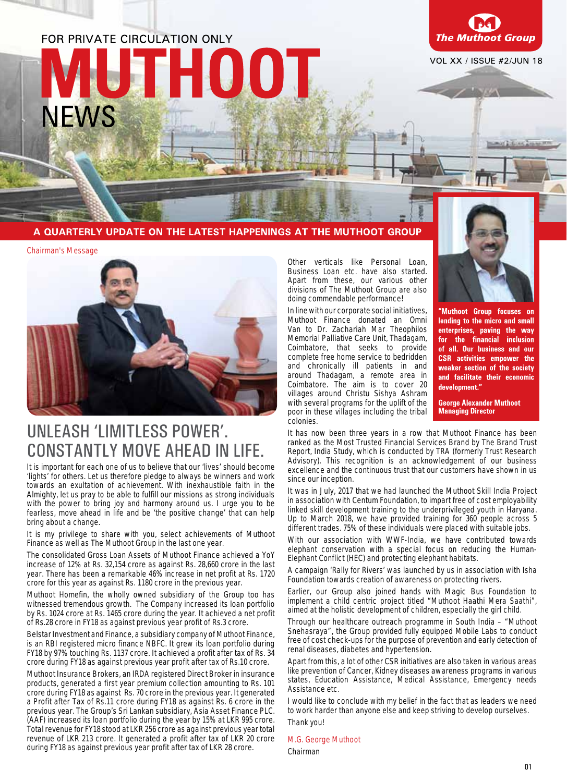# FOR PRIVATE CIRCULATION ONLY THOOT! **NEWS**



Chilling Transaction

#### A QUARTERLY UPDATE ON THE LATEST HAPPENINGS AT THE MUTHOOT GROUP

Chairman's Message



### UNLEASH 'LIMITLESS POWER'. CONSTANTLY MOVE AHEAD IN LIFE.

It is important for each one of us to believe that our 'lives' should become 'lights' for others. Let us therefore pledge to always be winners and work towards an exultation of achievement. With inexhaustible faith in the Almighty, let us pray to be able to fulfill our missions as strong individuals with the power to bring joy and harmony around us. I urge you to be fearless, move ahead in life and be 'the positive change' that can help bring about a change.

It is my privilege to share with you, select achievements of Muthoot Finance as well as The Muthoot Group in the last one year.

The consolidated Gross Loan Assets of Muthoot Finance achieved a YoY increase of 12% at Rs. 32,154 crore as against Rs. 28,660 crore in the last year. There has been a remarkable 46% increase in net profit at Rs. 1720 crore for this year as against Rs. 1180 crore in the previous year.

Muthoot Homefin, the wholly owned subsidiary of the Group too has witnessed tremendous growth. The Company increased its loan portfolio by Rs. 1024 crore at Rs. 1465 crore during the year. It achieved a net profit of Rs.28 crore in FY18 as against previous year profit of Rs.3 crore.

Belstar Investment and Finance, a subsidiary company of Muthoot Finance, is an RBI registered micro finance NBFC. It grew its loan portfolio during FY18 by 97% touching Rs. 1137 crore. It achieved a profit after tax of Rs. 34 crore during FY18 as against previous year profit after tax of Rs.10 crore.

Muthoot Insurance Brokers, an IRDA registered Direct Broker in insurance products, generated a first year premium collection amounting to Rs. 101 crore during FY18 as against Rs. 70 crore in the previous year. It generated a Profit after Tax of Rs.11 crore during FY18 as against Rs. 6 crore in the previous year. The Group's Sri Lankan subsidiary, Asia Asset Finance PLC. (AAF) increased its loan portfolio during the year by 15% at LKR 995 crore. Total revenue for FY18 stood at LKR 256 crore as against previous year total revenue of LKR 213 crore. It generated a profit after tax of LKR 20 crore during FY18 as against previous year profit after tax of LKR 28 crore.

Other verticals like Personal Loan, Business Loan etc. have also started. Apart from these, our various other divisions of The Muthoot Group are also doing commendable performance!

In line with our corporate social initiatives, Muthoot Finance donated an Omni Van to Dr. Zachariah Mar Theophilos Memorial Palliative Care Unit, Thadagam, Coimbatore, that seeks to provide complete free home service to bedridden and chronically ill patients in and around Thadagam, a remote area in Coimbatore. The aim is to cover 20 villages around Christu Sishya Ashram with several programs for the uplift of the poor in these villages including the tribal colonies.



"Muthoot Group focuses on lending to the micro and small enterprises, paving the way for the financial inclusion of all. Our business and our **CSR** activities empower the weaker section of the society and facilitate their economic development."

**George Alexander Muthoot Managing Director** 

It has now been three years in a row that Muthoot Finance has been ranked as the Most Trusted Financial Services Brand by The Brand Trust Report, India Study, which is conducted by TRA (formerly Trust Research Advisory). This recognition is an acknowledgement of our business excellence and the continuous trust that our customers have shown in us since our inception.

It was in July, 2017 that we had launched the Muthoot Skill India Project in association with Centum Foundation, to impart free of cost employability linked skill development training to the underprivileged youth in Haryana. Up to March 2018, we have provided training for 360 people across 5 different trades. 75% of these individuals were placed with suitable jobs.

With our association with WWF-India, we have contributed towards elephant conservation with a special focus on reducing the Human-Elephant Conflict (HEC) and protecting elephant habitats.

A campaign 'Rally for Rivers' was launched by us in association with Isha Foundation towards creation of awareness on protecting rivers.

Earlier, our Group also joined hands with Magic Bus Foundation to implement a child centric project titled "Muthoot Haathi Mera Saathi", aimed at the holistic development of children, especially the girl child.

Through our healthcare outreach programme in South India – "Muthoot Snehasraya", the Group provided fully equipped Mobile Labs to conduct free of cost check-ups for the purpose of prevention and early detection of renal diseases, diabetes and hypertension.

Apart from this, a lot of other CSR initiatives are also taken in various areas like prevention of Cancer, Kidney diseases awareness programs in various states, Education Assistance, Medical Assistance, Emergency needs Assistance etc.

I would like to conclude with my belief in the fact that as leaders we need to work harder than anyone else and keep striving to develop ourselves.

Thank you!

M.G. George Muthoot Chairman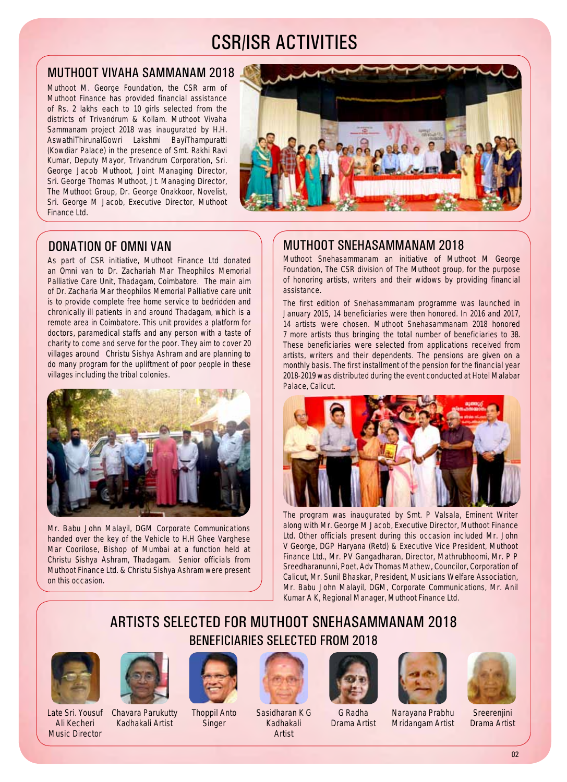### CSR/ISR ACTIVITIES

#### Muthoot Vivaha Sammanam 2018

Muthoot M. George Foundation, the CSR arm of Muthoot Finance has provided financial assistance of Rs. 2 lakhs each to 10 girls selected from the districts of Trivandrum & Kollam. Muthoot Vivaha Sammanam project 2018 was inaugurated by H.H. AswathiThirunalGowri Lakshmi BayiThampuratti (Kowdiar Palace) in the presence of Smt. Rakhi Ravi Kumar, Deputy Mayor, Trivandrum Corporation, Sri. George Jacob Muthoot, Joint Managing Director, Sri. George Thomas Muthoot, Jt. Managing Director, The Muthoot Group, Dr. George Onakkoor, Novelist, Sri. George M Jacob, Executive Director, Muthoot Finance Ltd.



#### Donation of Omni Van

As part of CSR initiative, Muthoot Finance Ltd donated an Omni van to Dr. Zachariah Mar Theophilos Memorial Palliative Care Unit, Thadagam, Coimbatore. The main aim of Dr. Zacharia Mar theophilos Memorial Palliative care unit is to provide complete free home service to bedridden and chronically ill patients in and around Thadagam, which is a remote area in Coimbatore. This unit provides a platform for doctors, paramedical staffs and any person with a taste of charity to come and serve for the poor. They aim to cover 20 villages around Christu Sishya Ashram and are planning to do many program for the upliftment of poor people in these villages including the tribal colonies.



Mr. Babu John Malayil, DGM Corporate Communications handed over the key of the Vehicle to H.H Ghee Varghese Mar Coorilose, Bishop of Mumbai at a function held at Christu Sishya Ashram, Thadagam. Senior officials from Muthoot Finance Ltd. & Christu Sishya Ashram were present on this occasion.

#### Muthoot Snehasammanam 2018

Muthoot Snehasammanam an initiative of Muthoot M George Foundation, The CSR division of The Muthoot group, for the purpose of honoring artists, writers and their widows by providing financial assistance.

The first edition of Snehasammanam programme was launched in January 2015, 14 beneficiaries were then honored. In 2016 and 2017, 14 artists were chosen. Muthoot Snehasammanam 2018 honored 7 more artists thus bringing the total number of beneficiaries to 38. These beneficiaries were selected from applications received from artists, writers and their dependents. The pensions are given on a monthly basis. The first installment of the pension for the financial year 2018-2019 was distributed during the event conducted at Hotel Malabar Palace, Calicut.



The program was inaugurated by Smt. P Valsala, Eminent Writer along with Mr. George M Jacob, Executive Director, Muthoot Finance Ltd. Other officials present during this occasion included Mr. John V George, DGP Haryana (Retd) & Executive Vice President, Muthoot Finance Ltd., Mr. PV Gangadharan, Director, Mathrubhoomi, Mr. P P Sreedharanunni, Poet, Adv Thomas Mathew, Councilor, Corporation of Calicut, Mr. Sunil Bhaskar, President, Musicians Welfare Association, Mr. Babu John Malayil, DGM, Corporate Communications, Mr. Anil Kumar A K, Regional Manager, Muthoot Finance Ltd.

### Artists selected for Muthoot Snehasammanam 2018 Beneficiaries SELECTED FROM 2018



Late Sri. Yousuf Chavara Parukutty Ali Kecheri Music Director



Kadhakali Artist



Thoppil Anto **Singer** 



Sasidharan K G Kadhakali Artist







**Sreerenjini** Drama Artist

G Radha Drama Artist Narayana Prabhu Mridangam Artist

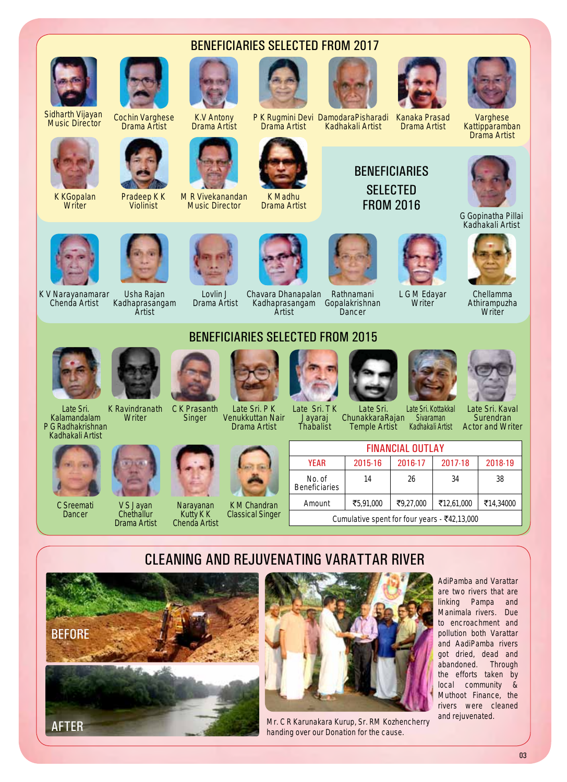

Sidharth Vijayan Sidharth Vijayan — <sub>Cochin</sub> Varghese<br>Music Director — Drama Artist



K KGopalan **Writer** 





Pradeep K K Violinist



K.V Antony Drama Artist

M R Vivekanandan Music Director





beneficiaries selected from 2017

P K Rugmini Devi DamodaraPisharadi Drama Artist

K Madhu Drama Artist



Kadhakali Artist Kanaka Prasad Drama Artist

> **BENFFICIARIES SELECTED** from 2016





Varghese **Kattipparamban** Drama Artist



G Gopinatha Pillai Kadhakali Artist



Chellamma Athirampuzha **Writer** 



K V Narayanamarar Chenda Artist



Usha Rajan Kadhaprasangam Artist



Lovlin J Drama Artist

Chavara Dhanapalan

Kadhaprasangam Gopalakrishnan Rathnamani Dancer



### beneficiaries selected from 2015

Artist



Late Sri.

K Ravindranath **Writer** 



Kalamandalam P G Radhakrishnan



C Sreemati **Dancer** 



V S Jayan **Chethallur** Drama Artist



Late Sri. P K Venukkuttan Nair Drama Artist



#### Chenda Artist K M Chandran Classical Singer

Narayanan Kutty K K

Singer











Late Sri. Kaval Surendran Actor and Writer

| <b>FINANCIAL OUTLAY</b>                                     |           |           |            |           |  |  |  |  |  |
|-------------------------------------------------------------|-----------|-----------|------------|-----------|--|--|--|--|--|
| <b>YEAR</b>                                                 | 2015-16   | 2016-17   | 2017-18    | 2018-19   |  |  |  |  |  |
| No. of<br><b>Beneficiaries</b>                              | 14        | 26        | 34         | 38        |  |  |  |  |  |
| Amount                                                      | ₹5,91,000 | ₹9,27,000 | ₹12,61,000 | ₹14,34000 |  |  |  |  |  |
| Cumulative spent for four years - $\overline{\xi}42,13,000$ |           |           |            |           |  |  |  |  |  |

### Cleaning and Rejuvenating Varattar River





Mr. C R Karunakara Kurup, Sr. RM Kozhencherry and rejuvenated. handing over our Donation for the cause.

AdiPamba and Varattar are two rivers that are linking Pampa and Manimala rivers. Due to encroachment and pollution both Varattar and AadiPamba rivers got dried, dead and abandoned. Through the efforts taken by local community & Muthoot Finance, the rivers were cleaned



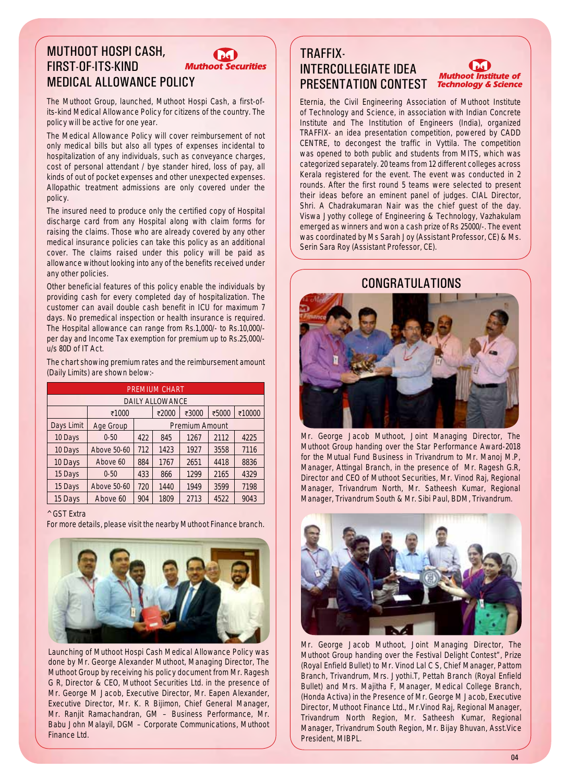#### Muthoot Hospi Cash, first-of-its-kind **Muthoot Securities** Medical Allowance Policy

The Muthoot Group, launched, Muthoot Hospi Cash, a first-ofits-kind Medical Allowance Policy for citizens of the country. The policy will be active for one year.

The Medical Allowance Policy will cover reimbursement of not only medical bills but also all types of expenses incidental to hospitalization of any individuals, such as conveyance charges, cost of personal attendant / bye stander hired, loss of pay, all kinds of out of pocket expenses and other unexpected expenses. Allopathic treatment admissions are only covered under the policy.

The insured need to produce only the certified copy of Hospital discharge card from any Hospital along with claim forms for raising the claims. Those who are already covered by any other medical insurance policies can take this policy as an additional cover. The claims raised under this policy will be paid as allowance without looking into any of the benefits received under any other policies.

Other beneficial features of this policy enable the individuals by providing cash for every completed day of hospitalization. The customer can avail double cash benefit in ICU for maximum 7 days. No premedical inspection or health insurance is required. The Hospital allowance can range from Rs.1,000/- to Rs.10,000/ per day and Income Tax exemption for premium up to Rs.25,000/ u/s 80D of IT Act.

The chart showing premium rates and the reimbursement amount (Daily Limits) are shown below:-

| <b>PREMIUM CHART</b>   |             |                       |       |       |       |        |  |  |  |
|------------------------|-------------|-----------------------|-------|-------|-------|--------|--|--|--|
| <b>DAILY ALLOWANCE</b> |             |                       |       |       |       |        |  |  |  |
|                        | ₹1000       |                       | ₹2000 | ₹3000 | ₹5000 | ₹10000 |  |  |  |
| Days Limit             | Age Group   | <b>Premium Amount</b> |       |       |       |        |  |  |  |
| 10 Days                | $0 - 50$    | 422                   | 845   | 1267  | 2112  | 4225   |  |  |  |
| 10 Days                | Above 50-60 | 712                   | 1423  | 1927  | 3558  | 7116   |  |  |  |
| 10 Days                | Above 60    | 884                   | 1767  | 2651  | 4418  | 8836   |  |  |  |
| 15 Days                | $0 - 50$    | 433                   | 866   | 1299  | 2165  | 4329   |  |  |  |
| 15 Days                | Above 50-60 | 720                   | 1440  | 1949  | 3599  | 7198   |  |  |  |
| 15 Days                | Above 60    | 904                   | 1809  | 2713  | 4522  | 9043   |  |  |  |

#### ^ GST Extra

For more details, please visit the nearby Muthoot Finance branch.



Launching of Muthoot Hospi Cash Medical Allowance Policy was done by Mr. George Alexander Muthoot, Managing Director, The Muthoot Group by receiving his policy document from Mr. Ragesh G R, Director & CEO, Muthoot Securities Ltd. in the presence of Mr. George M Jacob, Executive Director, Mr. Eapen Alexander, Executive Director, Mr. K. R Bijimon, Chief General Manager, Mr. Ranjit Ramachandran, GM – Business Performance, Mr. Babu John Malayil, DGM – Corporate Communications, Muthoot Finance Ltd.

#### TRAFFIX-Intercollegiate Idea Presentation Contest

#### **Muthoot Institute of Technology & Science**

Eternia, the Civil Engineering Association of Muthoot Institute of Technology and Science, in association with Indian Concrete Institute and The Institution of Engineers (India), organized TRAFFIX- an idea presentation competition, powered by CADD CENTRE, to decongest the traffic in Vyttila. The competition was opened to both public and students from MITS, which was categorized separately. 20 teams from 12 different colleges across Kerala registered for the event. The event was conducted in 2 rounds. After the first round 5 teams were selected to present their ideas before an eminent panel of judges. CIAL Director, Shri. A Chadrakumaran Nair was the chief guest of the day. Viswa Jyothy college of Engineering & Technology, Vazhakulam emerged as winners and won a cash prize of Rs 25000/-. The event was coordinated by Ms Sarah Joy (Assistant Professor, CE) & Ms. Serin Sara Roy (Assistant Professor, CE).

#### **CONGRATULATIONS**



Mr. George Jacob Muthoot, Joint Managing Director, The Muthoot Group handing over the Star Performance Award-2018 for the Mutual Fund Business in Trivandrum to Mr. Manoj M.P, Manager, Attingal Branch, in the presence of Mr. Ragesh G.R, Director and CEO of Muthoot Securities, Mr. Vinod Raj, Regional Manager, Trivandrum North, Mr. Satheesh Kumar, Regional Manager, Trivandrum South & Mr. Sibi Paul, BDM, Trivandrum.



Mr. George Jacob Muthoot, Joint Managing Director, The Muthoot Group handing over the Festival Delight Contest", Prize (Royal Enfield Bullet) to Mr. Vinod Lal C S, Chief Manager, Pattom Branch, Trivandrum, Mrs. Jyothi.T, Pettah Branch (Royal Enfield Bullet) and Mrs. Majitha F, Manager, Medical College Branch, (Honda Activa) in the Presence of Mr. George M Jacob, Executive Director, Muthoot Finance Ltd., Mr.Vinod Raj, Regional Manager, Trivandrum North Region, Mr. Satheesh Kumar, Regional Manager, Trivandrum South Region, Mr. Bijay Bhuvan, Asst.Vice President, MIBPL.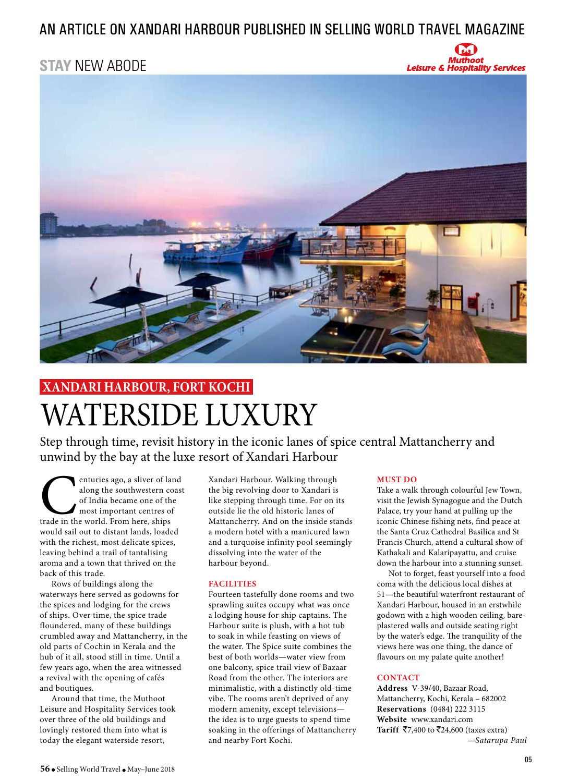### an article on xandari harbour published IN selling world travel magazine

## **STAY** NEW ABODE **STAY** NEW ABODE





#### Step through time, revisit history in the iconic lanes of spice central Mattancherry and WATERSIDE LUXURY WATERSIDE LUXURY WATERSIDE LUXURY **XANDARI HARBOUR, FORT KOCHI XANDARI HARBOUR, FORT KOCHI**

Step through time, revisit history in the iconic lanes of spice central Mattancherry and unwind by the bay at the luxe resort of Xandari Harbour Step through time, revisit history in the iconic lanes of spice central Mattancherry and unwind by the bay at the luxe resort of Xandari Harbour

enturies ago, a sliver of land<br>
along the southwestern coast<br>
of India became one of the<br>
most important centres of<br>
trade in the world. From here, ships along the southwestern coast of India became one of the most important centres of most in the world 11 on here, only of the would sail out to distant lands, loaded with the richest, most delicate spices, would the extensive, insert derivative prese, aroma and a town that thrived on the model and a trail of the distribution of the distribution of the set of this trade. along the southwestern coast<br>of India became one of the<br>most important centres of<br>trade in the world. From here, ships<br>would sail out to distant lands, loaded<br>with the richest, most delicate spices, most important centres of the Indian because of the theorem of India became one of the<br>trade in the world. From here, ships<br>would sail out to distant lands, loaded<br>with the richest, most delicate spices,<br>leaving behind a trail of tantalising e world. From here, ships

pack of this trade.<br>Rows of buildings along the waterways here served as godowns for the spices and lodging for the crews of ships. Over time, the spice trade the surprise the many, the epite many<br>floundered, many of these buildings crumbled away and Mattancherry, in the flowned and parts of Cochin in Kerala and the Figure 21 Second and Mathematical and The Corumbian and Mattancherry, in the Second and Mattancherry, in the Corumbian and Mattancherry, in the crumble and  $\frac{1}{2}$ few years ago, when the area witnessed a revival with the opening of cafés a few and which the area with the area with the area with the area with the area with the area with  $\frac{1}{2}$ kows of buildings along the

and boutiques.<br>Around that time, the Muthoot Leisure and Hospitality Services took over three of the old buildings and lovingly restored them into what is today the elegant waterside resort, today the elegant waterside resort, a reviewed with the opening of career and the opening of career and captured of career and captured of captured of captured of captured of captured of captured of captured of captured of captured of categories of categorie

Xandari Harbour. Walking through the big revolving door to Xandari is like stepping through time. For on its me stepping directly the to to the R<br>outside lie the old historic lanes of Mattancherry. And on the inside stands a modern hotel with a manicured lawn and a turquoise infinity pool seemingly dissolving into the water of the and a turnoise infinity pool seeming and a turn where  $\epsilon$  is the seeming  $\frac{d}{dt}$ 

#### FACILITIES

**FACILITIES**<br>Fourteen tastefully done rooms and two sprawling suites occupy what was once a lodging house for ship captains. The a rouging nouse for omp explanate the<br>Harbour suite is plush, with a hot tub to soak in while feasting on views of the water. The Spice suite combines the best of both worlds—water view from one balcony, spice trail view of Bazaar Road from the other. The interiors are minimalistic, with a distinctly old-time wibe. The rooms aren't deprived of any modern amenity, except televisions the idea is to urge guests to spend time. modern amenity, except the offerings of Mattancherry soaking in the offerings of Mattancherry and nearby Fort Kochi.  $s_{\text{max}}$  in the offering of  $\mathcal{L}_{\text{max}}$ 

#### **MUST DO**

Take a walk through colourful Jew Town, visit the Jewish Synagogue and the Dutch Palace, try your hand at pulling up the Fundee, if y your hand at pairing ap the iconic Chinese fishing nets, find peace at the Santa Cruz Cathedral Basilica and St Francis Church, attend a cultural show of iconic Chinese fishing nets, find peace at rrancis Church, attend a cultural show of<br>Kathakali and Kalaripayattu, and cruise Francis Church, and Trancis Church, and Trancis down the harbour into a stunning sunset. Kathakan and Kataripayattu, and Cruise

Not to forget, feast yourself into a food coma with the delicious local dishes at Figure 1.1 The beautiful waterfront restaurant of Xandari Harbour, housed in an erstwhile runnant run oo af, ho asea in an eretwing plastered walls and outside seating right by the water's edge. The tranquility of the beyone water cought the danguinty of the views here was one thing, the dance of flavours on my palate quite another! navours on my parate quite anomer:

#### **CONTACT**

**CONTACT**<br> **Address** V-39/40, Bazaar Road, Mattancherry, Kochi, Kerala – 682002 **Reservations** (0484) 222 3115 Website www.xandari.com **Tariff ₹7,400 to ₹24,600 (taxes extra)** *—Satarupa Paul* **Website** which we have the complete  $\mathbf{r}$  $T_{\text{2}}$ **Reservative CONSTRAINT CONSTRAINS 2022 Website** www.xandari.com